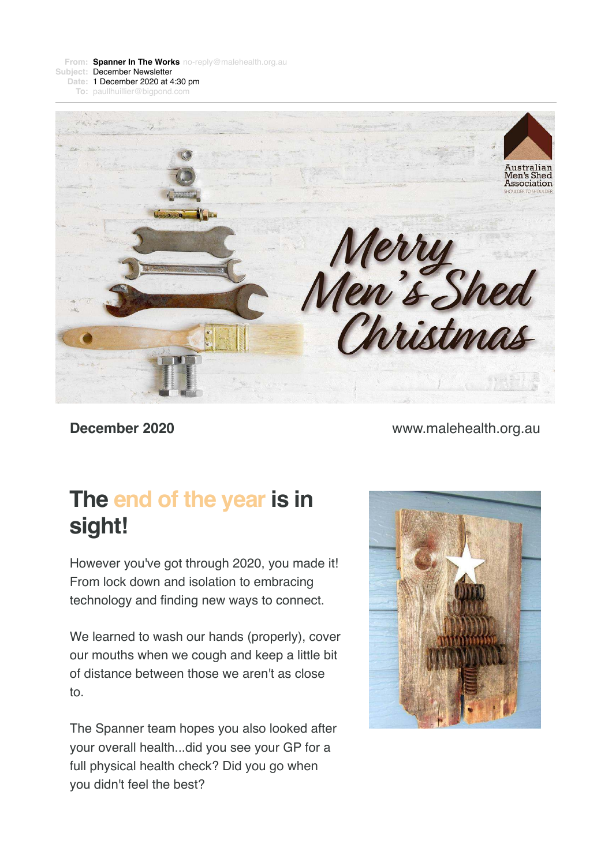**From: Spanner In The [Works](mailto:Worksno-reply@malehealth.org.au)** [no-reply@malehealth.org.au](mailto:Worksno-reply@malehealth.org.au) **Subject:** December Newsletter **Date:** 1 December 2020 at 4:30 pm

**To:** [paullhuillier@bigpond.com](mailto:paullhuillier@bigpond.com)



**December 2020** [www.malehealth.org.au](https://login.visionscapedirect.com.au/t/i-l-mjldiky-huiduyirr-j/)

## **The end of the year is in sight!**

However you've got through 2020, you made it! From lock down and isolation to embracing technology and finding new ways to connect.

We learned to wash our hands (properly), cover our mouths when we cough and keep a little bit of distance between those we aren't as close to.

The Spanner team hopes you also looked after your overall health...did you see your GP for a full physical health check? Did you go when you didn't feel the best?

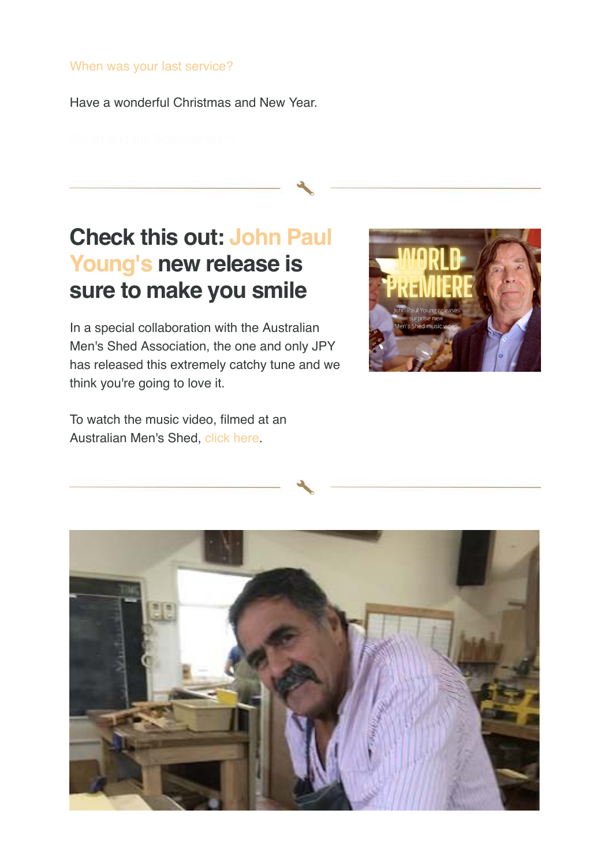#### [When was your last service?](https://login.visionscapedirect.com.au/t/i-l-mjldiky-huiduyirr-t/)

Have a wonderful Christmas and New Year.

## **Check this out: John Paul Young's new release is sure to make you smile**

In a special collaboration with the Australian Men's Shed Association, the one and only JPY has released this extremely catchy tune and we think you're going to love it.

To watch the music video, filmed at an Australian Men's Shed, [click here](https://login.visionscapedirect.com.au/t/i-l-mjldiky-huiduyirr-i/).



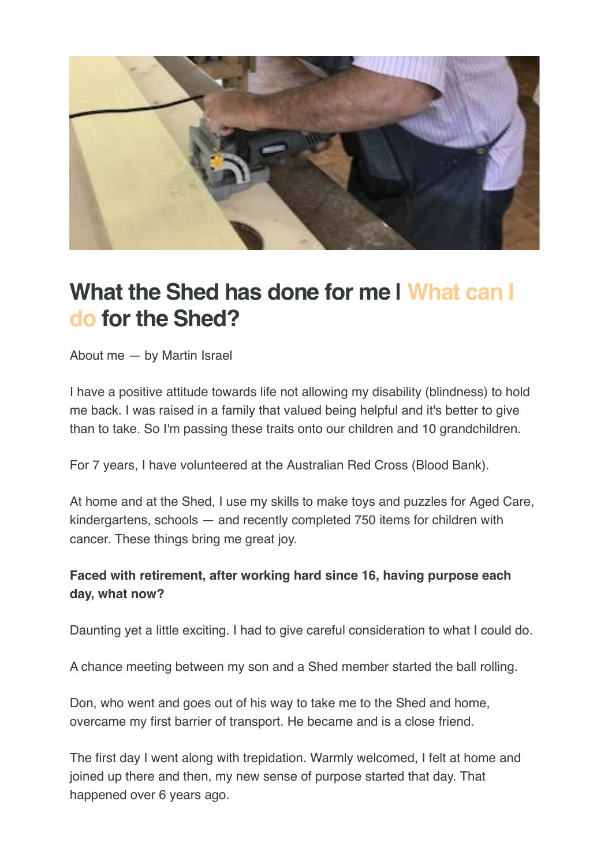

## **What the Shed has done for me | What can I do for the Shed?**

About me — by Martin Israel

I have a positive attitude towards life not allowing my disability (blindness) to hold me back. I was raised in a family that valued being helpful and it's better to give than to take. So I'm passing these traits onto our children and 10 grandchildren.

For 7 years, I have volunteered at the Australian Red Cross (Blood Bank).

At home and at the Shed, I use my skills to make toys and puzzles for Aged Care, kindergartens, schools — and recently completed 750 items for children with cancer. These things bring me great joy.

### **Faced with retirement, after working hard since 16, having purpose each day, what now?**

Daunting yet a little exciting. I had to give careful consideration to what I could do.

A chance meeting between my son and a Shed member started the ball rolling.

Don, who went and goes out of his way to take me to the Shed and home, overcame my first barrier of transport. He became and is a close friend.

The first day I went along with trepidation. Warmly welcomed, I felt at home and joined up there and then, my new sense of purpose started that day. That happened over 6 years ago.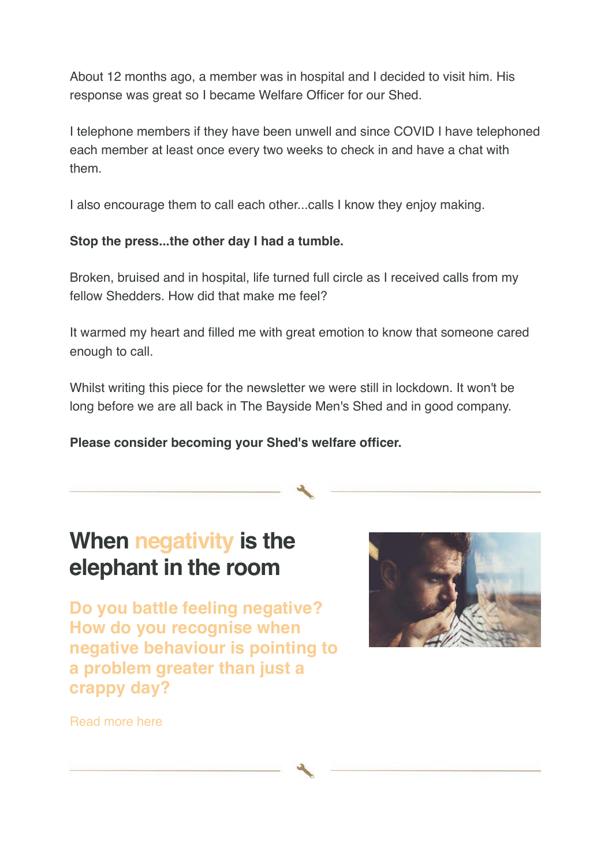About 12 months ago, a member was in hospital and I decided to visit him. His response was great so I became Welfare Officer for our Shed.

I telephone members if they have been unwell and since COVID I have telephoned each member at least once every two weeks to check in and have a chat with them.

I also encourage them to call each other...calls I know they enjoy making.

#### **Stop the press...the other day I had a tumble.**

Broken, bruised and in hospital, life turned full circle as I received calls from my fellow Shedders. How did that make me feel?

It warmed my heart and filled me with great emotion to know that someone cared enough to call.

Whilst writing this piece for the newsletter we were still in lockdown. It won't be long before we are all back in The Bayside Men's Shed and in good company.

**Please consider becoming your Shed's welfare officer.**

## **When negativity is the elephant in the room**

**Do you battle feeling negative? How do you recognise when negative behaviour is pointing to a problem greater than just a crappy day?**



[Read more here](https://login.visionscapedirect.com.au/t/i-l-mjldiky-huiduyirr-h/)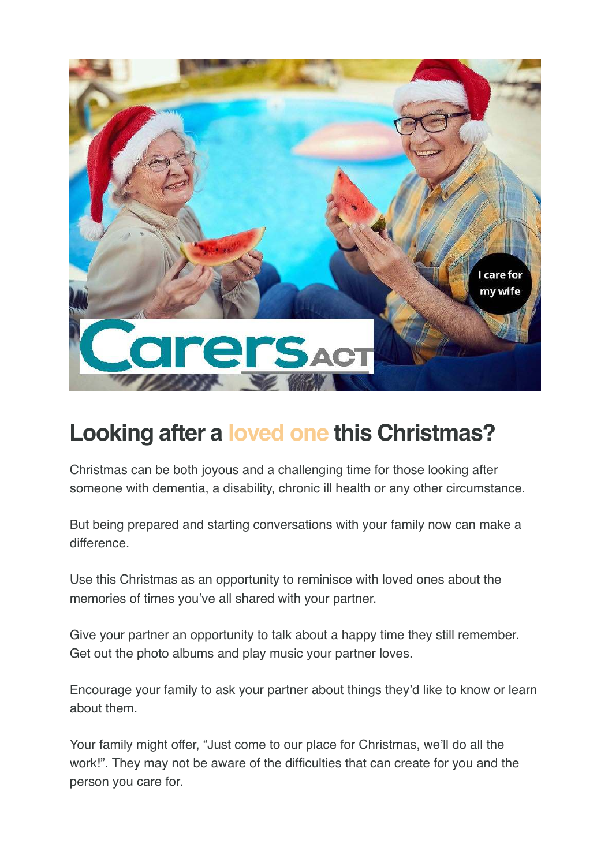

## **Looking after a loved one this Christmas?**

Christmas can be both joyous and a challenging time for those looking after someone with dementia, a disability, chronic ill health or any other circumstance.

But being prepared and starting conversations with your family now can make a difference.

Use this Christmas as an opportunity to reminisce with loved ones about the memories of times you've all shared with your partner.

Give your partner an opportunity to talk about a happy time they still remember. Get out the photo albums and play music your partner loves.

Encourage your family to ask your partner about things they'd like to know or learn about them.

Your family might offer, "Just come to our place for Christmas, we'll do all the work!". They may not be aware of the difficulties that can create for you and the person you care for.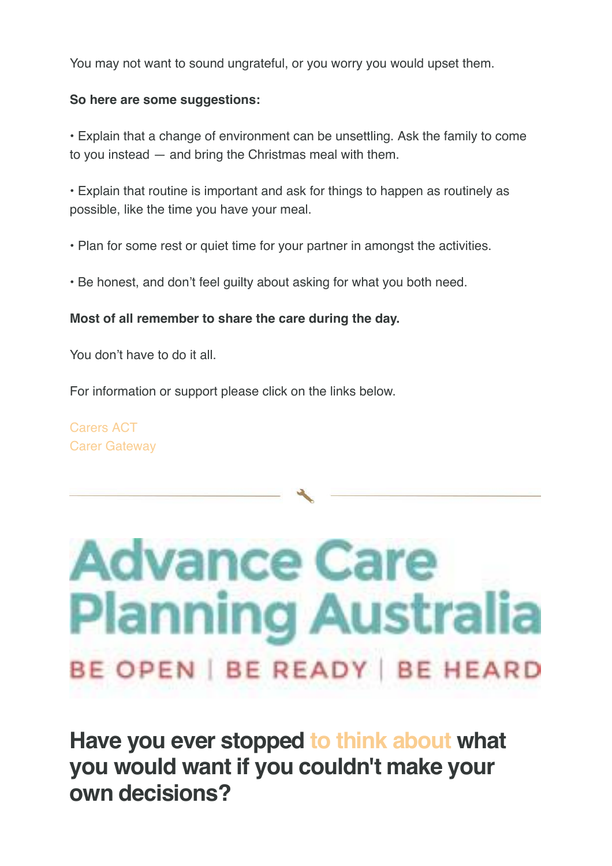You may not want to sound ungrateful, or you worry you would upset them.

#### **So here are some suggestions:**

• Explain that a change of environment can be unsettling. Ask the family to come to you instead — and bring the Christmas meal with them.

• Explain that routine is important and ask for things to happen as routinely as possible, like the time you have your meal.

- Plan for some rest or quiet time for your partner in amongst the activities.
- Be honest, and don't feel guilty about asking for what you both need.

#### **Most of all remember to share the care during the day.**

You don't have to do it all.

For information or support please click on the links below.

[Carers ACT](https://login.visionscapedirect.com.au/t/i-l-mjldiky-huiduyirr-u/) [Carer Gateway](https://login.visionscapedirect.com.au/t/i-l-mjldiky-huiduyirr-o/) 

# **Advance Care Planning Australia BE OPEN | BE READY | BE HEARD**

**[Have you ever stopped to think about what](https://login.visionscapedirect.com.au/t/i-l-mjldiky-huiduyirr-b/) you would want if you couldn't make your own decisions?**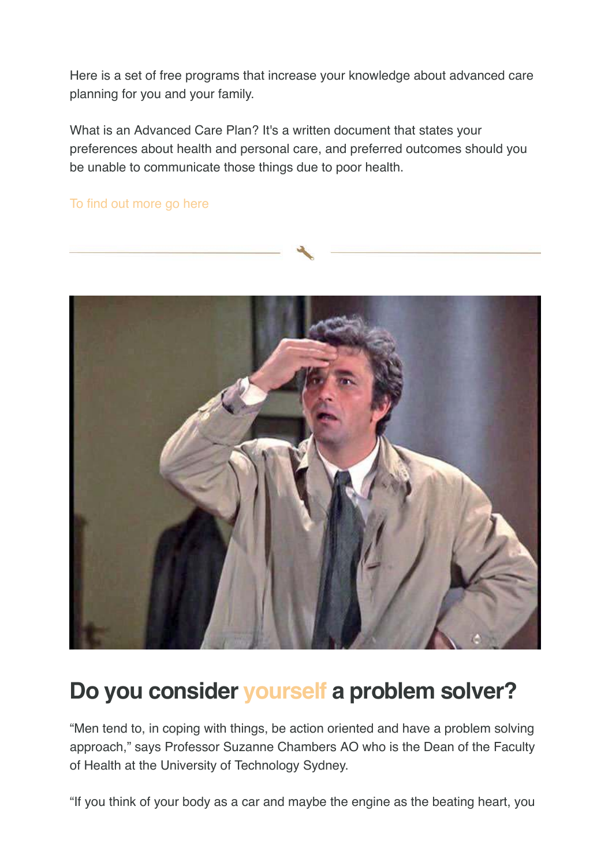Here is a set of free programs that increase your knowledge about advanced care planning for you and your family.

What is an Advanced Care Plan? It's a written document that states your preferences about health and personal care, and preferred outcomes should you be unable to communicate those things due to poor health.

[To find out more go here](https://login.visionscapedirect.com.au/t/i-l-mjldiky-huiduyirr-n/)



## **Do you consider yourself a problem solver?**

"Men tend to, in coping with things, be action oriented and have a problem solving approach," says Professor Suzanne Chambers AO who is the Dean of the Faculty of Health at the University of Technology Sydney.

"If you think of your body as a car and maybe the engine as the beating heart, you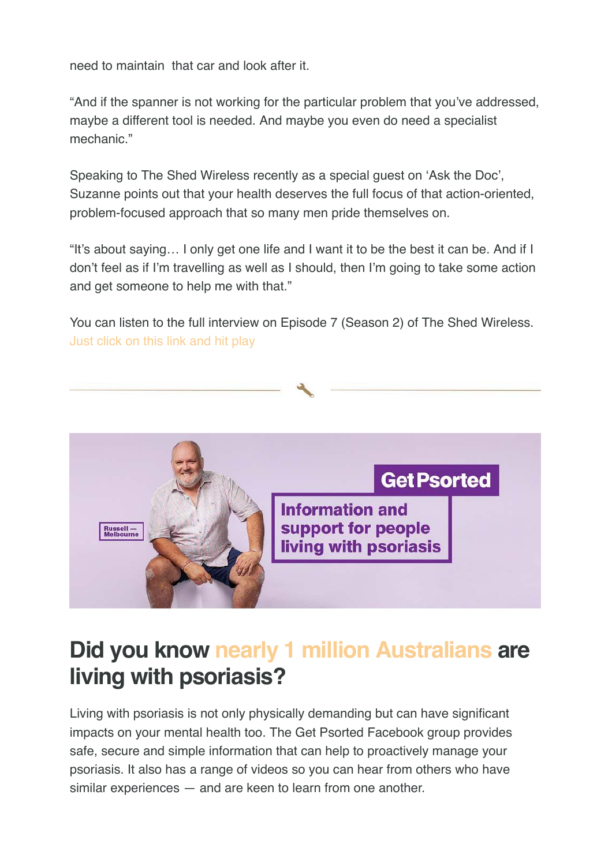need to maintain that car and look after it.

"And if the spanner is not working for the particular problem that you've addressed, maybe a different tool is needed. And maybe you even do need a specialist mechanic."

Speaking to The Shed Wireless recently as a special guest on 'Ask the Doc', Suzanne points out that your health deserves the full focus of that action-oriented, problem-focused approach that so many men pride themselves on.

"It's about saying… I only get one life and I want it to be the best it can be. And if I don't feel as if I'm travelling as well as I should, then I'm going to take some action and get someone to help me with that."

You can listen to the full interview on Episode 7 (Season 2) of The Shed Wireless. [Just click on this link and hit play](https://login.visionscapedirect.com.au/t/i-l-mjldiky-huiduyirr-x/)



## **Did you know nearly 1 million Australians are living with psoriasis?**

Living with psoriasis is not only physically demanding but can have significant impacts on your mental health too. The Get Psorted Facebook group provides safe, secure and simple information that can help to proactively manage your psoriasis. It also has a range of videos so you can hear from others who have similar experiences — and are keen to learn from one another.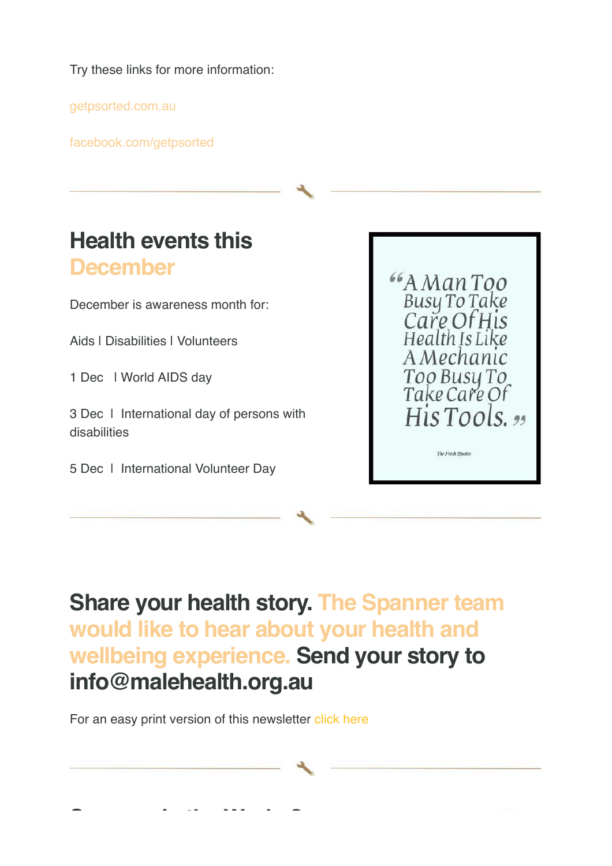Try these links for more information:

[getpsorted.com.au](https://login.visionscapedirect.com.au/t/i-l-mjldiky-huiduyirr-c/)

[facebook.com/getpsorted](https://login.visionscapedirect.com.au/t/i-l-mjldiky-huiduyirr-q/)



5 Dec | International Volunteer Day

## **[Share your health story. The Spanner team](https://login.visionscapedirect.com.au/t/i-l-mjldiky-huiduyirr-a/) would like to hear about your health and wellbeing experience. Send your story to info@malehealth.org.au**

For an easy print version of this newsletter [click here](https://login.visionscapedirect.com.au/t/i-l-mjldiky-huiduyirr-f/)

**[Spanner in the Works?](https://login.visionscapedirect.com.au/t/i-l-mjldiky-huiduyirr-z/)**